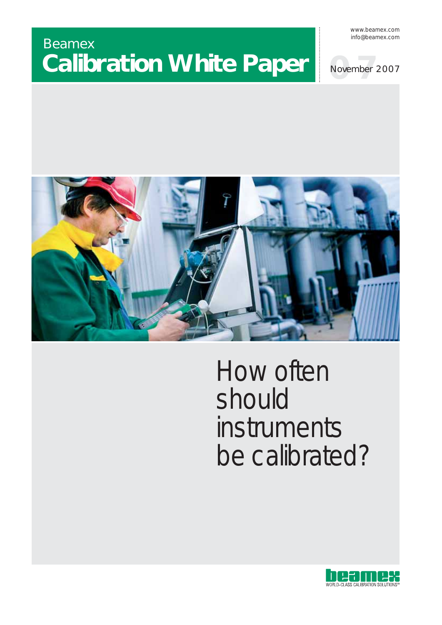# Beamex **Calibration White Paper**

www.beamex.com info@beamex.com





# How often should instruments be calibrated?

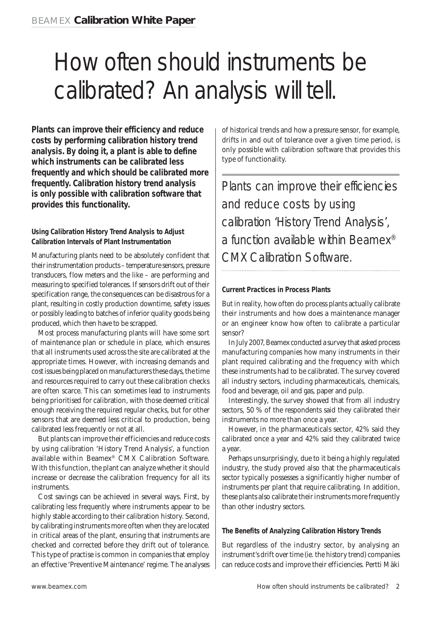# How often should instruments be calibrated? An analysis will tell.

**Plants can improve their efficiency and reduce costs by performing calibration history trend analysis. By doing it, a plant is able to define which instruments can be calibrated less frequently and which should be calibrated more frequently. Calibration history trend analysis is only possible with calibration software that provides this functionality.**

# **Using Calibration History Trend Analysis to Adjust Calibration Intervals of Plant Instrumentation**

Manufacturing plants need to be absolutely confident that their instrumentation products – temperature sensors, pressure transducers, flow meters and the like – are performing and measuring to specified tolerances. If sensors drift out of their specification range, the consequences can be disastrous for a plant, resulting in costly production downtime, safety issues or possibly leading to batches of inferior quality goods being produced, which then have to be scrapped.

Most process manufacturing plants will have some sort of maintenance plan or schedule in place, which ensures that all instruments used across the site are calibrated at the appropriate times. However, with increasing demands and cost issues being placed on manufacturers these days, the time and resources required to carry out these calibration checks are often scarce. This can sometimes lead to instruments being prioritised for calibration, with those deemed critical enough receiving the required regular checks, but for other sensors that are deemed less critical to production, being calibrated less frequently or not at all.

But plants can improve their efficiencies and reduce costs by using calibration 'History Trend Analysis', a function available within Beamex® CMX Calibration Software. With this function, the plant can analyze whether it should increase or decrease the calibration frequency for all its instruments.

Cost savings can be achieved in several ways. First, by calibrating less frequently where instruments appear to be highly stable according to their calibration history. Second, by calibrating instruments more often when they are located in critical areas of the plant, ensuring that instruments are checked and corrected before they drift out of tolerance. This type of practise is common in companies that employ an effective 'Preventive Maintenance' regime. The analyses

of historical trends and how a pressure sensor, for example, drifts in and out of tolerance over a given time period, is only possible with calibration software that provides this type of functionality.

Plants can improve their efficiencies and reduce costs by using calibration 'History Trend Analysis', a function available within Beamex® CMX Calibration Software.

# **Current Practices in Process Plants**

But in reality, how often do process plants actually calibrate their instruments and how does a maintenance manager or an engineer know how often to calibrate a particular sensor?

In July 2007, Beamex conducted a survey that asked process manufacturing companies how many instruments in their plant required calibrating and the frequency with which these instruments had to be calibrated. The survey covered all industry sectors, including pharmaceuticals, chemicals, food and beverage, oil and gas, paper and pulp.

Interestingly, the survey showed that from all industry sectors, 50 % of the respondents said they calibrated their instruments no more than once a year.

However, in the pharmaceuticals sector, 42% said they calibrated once a year and 42% said they calibrated twice a year.

Perhaps unsurprisingly, due to it being a highly regulated industry, the study proved also that the pharmaceuticals sector typically possesses a significantly higher number of instruments per plant that require calibrating. In addition, these plants also calibrate their instruments more frequently than other industry sectors.

# **The Benefits of Analyzing Calibration History Trends**

But regardless of the industry sector, by analysing an instrument's drift over time (ie. the history trend) companies can reduce costs and improve their efficiencies. Pertti Mäki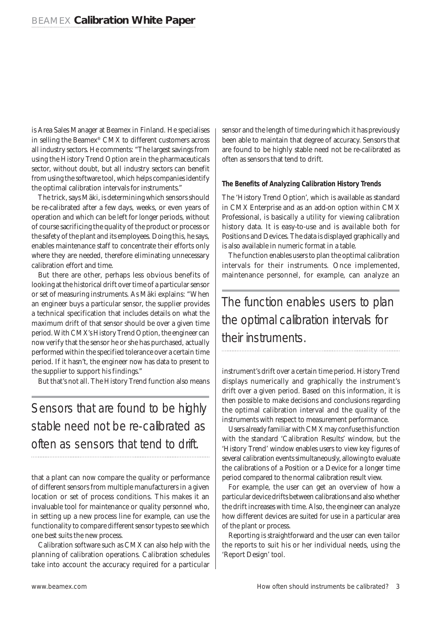is Area Sales Manager at Beamex in Finland. He specialises in selling the Beamex® CMX to different customers across all industry sectors. He comments: "The largest savings from using the History Trend Option are in the pharmaceuticals sector, without doubt, but all industry sectors can benefit from using the software tool, which helps companies identify the optimal calibration intervals for instruments."

The trick, says Mäki, is determining which sensors should be re-calibrated after a few days, weeks, or even years of operation and which can be left for longer periods, without of course sacrificing the quality of the product or process or the safety of the plant and its employees. Doing this, he says, enables maintenance staff to concentrate their efforts only where they are needed, therefore eliminating unnecessary calibration effort and time.

But there are other, perhaps less obvious benefits of looking at the historical drift over time of a particular sensor or set of measuring instruments. As Mäki explains: "When an engineer buys a particular sensor, the supplier provides a technical specification that includes details on what the maximum drift of that sensor should be over a given time period. With CMX's History Trend Option, the engineer can now verify that the sensor he or she has purchased, actually performed within the specified tolerance over a certain time period. If it hasn't, the engineer now has data to present to the supplier to support his findings."

But that's not all. The History Trend function also means

Sensors that are found to be highly stable need not be re-calibrated as often as sensors that tend to drift.

that a plant can now compare the quality or performance of different sensors from multiple manufacturers in a given location or set of process conditions. This makes it an invaluable tool for maintenance or quality personnel who, in setting up a new process line for example, can use the functionality to compare different sensor types to see which one best suits the new process.

Calibration software such as CMX can also help with the planning of calibration operations. Calibration schedules take into account the accuracy required for a particular sensor and the length of time during which it has previously been able to maintain that degree of accuracy. Sensors that are found to be highly stable need not be re-calibrated as often as sensors that tend to drift.

### **The Benefits of Analyzing Calibration History Trends**

The 'History Trend Option', which is available as standard in CMX Enterprise and as an add-on option within CMX Professional, is basically a utility for viewing calibration history data. It is easy-to-use and is available both for Positions and Devices. The data is displayed graphically and is also available in numeric format in a table.

The function enables users to plan the optimal calibration intervals for their instruments. Once implemented, maintenance personnel, for example, can analyze an

The function enables users to plan the optimal calibration intervals for their instruments.

instrument's drift over a certain time period. History Trend displays numerically and graphically the instrument's drift over a given period. Based on this information, it is then possible to make decisions and conclusions regarding the optimal calibration interval and the quality of the instruments with respect to measurement performance.

Users already familiar with CMX may confuse this function with the standard 'Calibration Results' window, but the 'History Trend' window enables users to view key figures of several calibration events simultaneously, allowing to evaluate the calibrations of a Position or a Device for a longer time period compared to the normal calibration result view.

For example, the user can get an overview of how a particular device drifts between calibrations and also whether the drift increases with time. Also, the engineer can analyze how different devices are suited for use in a particular area of the plant or process.

Reporting is straightforward and the user can even tailor the reports to suit his or her individual needs, using the 'Report Design' tool.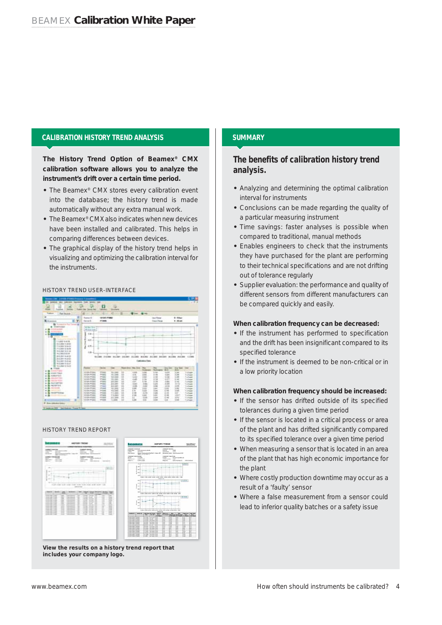### **CALIBRATION HISTORY TREND ANALYSIS**

**The History Trend Option of Beamex® CMX calibration software allows you to analyze the instrument's drift over a certain time period.**

- **•** The Beamex® CMX stores every calibration event into the database; the history trend is made automatically without any extra manual work.
- **•** The Beamex® CMX also indicates when new devices have been installed and calibrated. This helps in comparing differences between devices.
- **•** The graphical display of the history trend helps in visualizing and optimizing the calibration interval for the instruments.

#### HISTORY TREND USER-INTERFACE



#### HISTORY TREND REPORT



**View the results on a history trend report that Vi th lt hi t t d t th tincludes your company logo.**

# **SUMMARY**

# **The benefits of calibration history trend analysis.**

- **•** Analyzing and determining the optimal calibration interval for instruments
- **•** Conclusions can be made regarding the quality of a particular measuring instrument
- **•** Time savings: faster analyses is possible when compared to traditional, manual methods
- **•** Enables engineers to check that the instruments they have purchased for the plant are performing to their technical specifications and are not drifting out of tolerance regularly
- **•** Supplier evaluation: the performance and quality of different sensors from different manufacturers can be compared quickly and easily.

#### **When calibration frequency can be decreased:**

- **•** If the instrument has performed to specification and the drift has been insignificant compared to its specified tolerance
- **•** If the instrument is deemed to be non-critical or in a low priority location

#### **When calibration frequency should be increased:**

- **•** If the sensor has drifted outside of its specified tolerances during a given time period
- **•** If the sensor is located in a critical process or area of the plant and has drifted significantly compared to its specified tolerance over a given time period
- **•** When measuring a sensor that is located in an area of the plant that has high economic importance for the plant
- **•** Where costly production downtime may occur as a result of a 'faulty' sensor
- **•** Where a false measurement from a sensor could lead to inferior quality batches or a safety issue